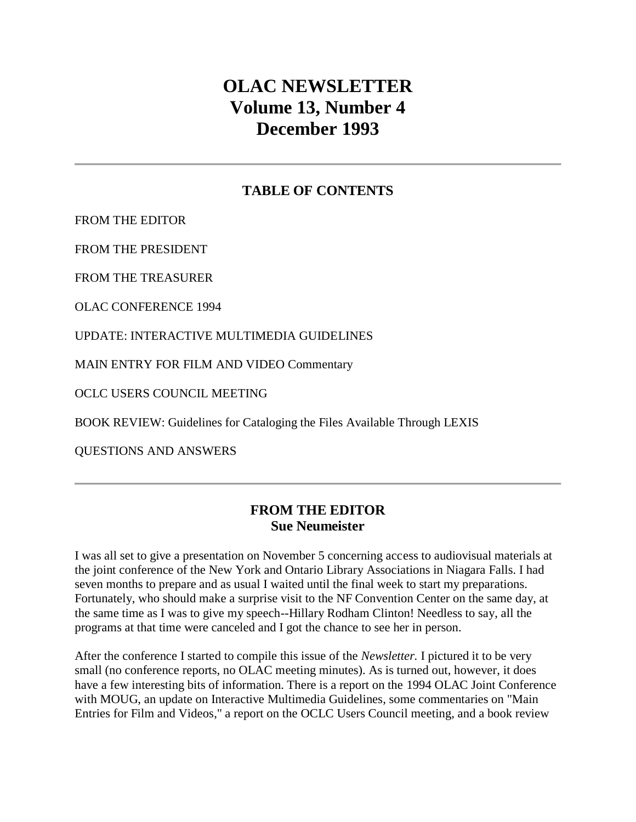# **OLAC NEWSLETTER Volume 13, Number 4 December 1993**

### **TABLE OF CONTENTS**

[FROM THE EDITOR](http://ublib.buffalo.edu/libraries/units/cts/olac/newsletters/dec93.html#editor)

[FROM THE PRESIDENT](http://ublib.buffalo.edu/libraries/units/cts/olac/newsletters/dec93.html#president)

[FROM THE TREASURER](http://ublib.buffalo.edu/libraries/units/cts/olac/newsletters/dec93.html#treasurer)

[OLAC CONFERENCE 1994](http://ublib.buffalo.edu/libraries/units/cts/olac/newsletters/dec93.html#conference)

[UPDATE: INTERACTIVE MULTIMEDIA GUIDELINES](http://ublib.buffalo.edu/libraries/units/cts/olac/newsletters/dec93.html#update)

[MAIN ENTRY FOR FILM AND VIDEO Commentary](http://ublib.buffalo.edu/libraries/units/cts/olac/newsletters/dec93.html#mainentry)

[OCLC USERS COUNCIL MEETING](http://ublib.buffalo.edu/libraries/units/cts/olac/newsletters/dec93.html#oclc)

[BOOK REVIEW: Guidelines for Cataloging the Files Available Through LEXIS](http://ublib.buffalo.edu/libraries/units/cts/olac/newsletters/dec93.html#review)

[QUESTIONS AND ANSWERS](http://ublib.buffalo.edu/libraries/units/cts/olac/newsletters/dec93.html#questions)

### **FROM THE EDITOR Sue Neumeister**

I was all set to give a presentation on November 5 concerning access to audiovisual materials at the joint conference of the New York and Ontario Library Associations in Niagara Falls. I had seven months to prepare and as usual I waited until the final week to start my preparations. Fortunately, who should make a surprise visit to the NF Convention Center on the same day, at the same time as I was to give my speech--Hillary Rodham Clinton! Needless to say, all the programs at that time were canceled and I got the chance to see her in person.

After the conference I started to compile this issue of the *Newsletter.* I pictured it to be very small (no conference reports, no OLAC meeting minutes). As is turned out, however, it does have a few interesting bits of information. There is a report on the [1994 OLAC Joint Conference](http://ublib.buffalo.edu/libraries/units/cts/olac/newsletters/dec93.html#conference) with MOUG, an update on [Interactive Multimedia Guidelines,](http://ublib.buffalo.edu/libraries/units/cts/olac/newsletters/dec93.html#update) some commentaries on ["Main](http://ublib.buffalo.edu/libraries/units/cts/olac/newsletters/dec93.html#mainentry)  [Entries for Film and Videos,](http://ublib.buffalo.edu/libraries/units/cts/olac/newsletters/dec93.html#mainentry)" a report on the [OCLC Users Council meeting,](http://ublib.buffalo.edu/libraries/units/cts/olac/newsletters/dec93.html#oclc) and a book review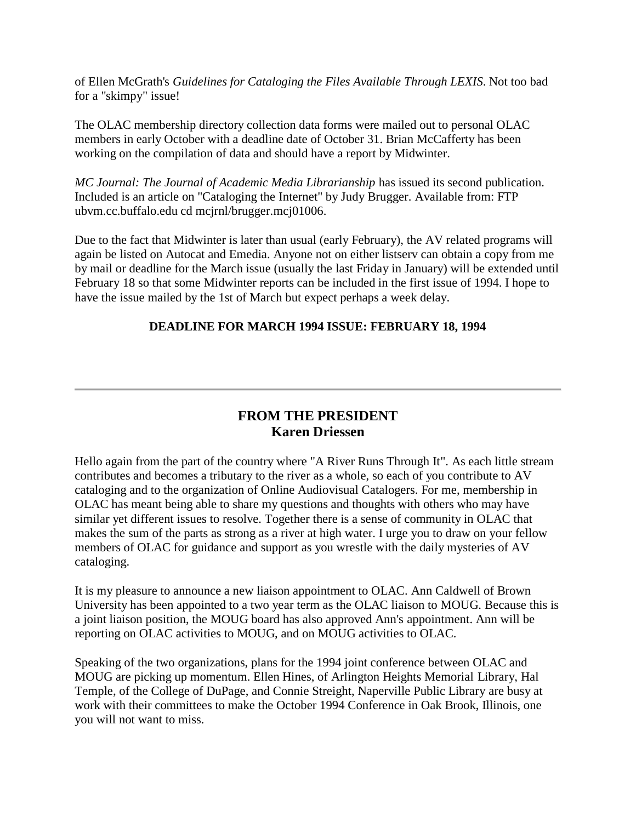of Ellen McGrath's *[Guidelines for Cataloging the Files Available Through LEXIS](http://ublib.buffalo.edu/libraries/units/cts/olac/newsletters/dec93.html#review)*. Not too bad for a "skimpy" issue!

The OLAC membership directory collection data forms were mailed out to personal OLAC members in early October with a deadline date of October 31. Brian McCafferty has been working on the compilation of data and should have a report by Midwinter.

*MC Journal: The Journal of Academic Media Librarianship* has issued its second publication. Included is an article on "Cataloging the Internet" by Judy Brugger. Available from: FTP ubvm.cc.buffalo.edu cd mcjrnl/brugger.mcj01006.

Due to the fact that Midwinter is later than usual (early February), the AV related programs will again be listed on Autocat and Emedia. Anyone not on either listserv can obtain a copy from me by mail or deadline for the March issue (usually the last Friday in January) will be extended until February 18 so that some Midwinter reports can be included in the first issue of 1994. I hope to have the issue mailed by the 1st of March but expect perhaps a week delay.

#### **DEADLINE FOR [MARCH 1994 ISSUE:](http://ublib.buffalo.edu/libraries/units/cts/olac/newsletters/march94.html) FEBRUARY 18, 1994**

### **FROM THE PRESIDENT Karen Driessen**

Hello again from the part of the country where "A River Runs Through It". As each little stream contributes and becomes a tributary to the river as a whole, so each of you contribute to AV cataloging and to the organization of Online Audiovisual Catalogers. For me, membership in OLAC has meant being able to share my questions and thoughts with others who may have similar yet different issues to resolve. Together there is a sense of community in OLAC that makes the sum of the parts as strong as a river at high water. I urge you to draw on your fellow members of OLAC for guidance and support as you wrestle with the daily mysteries of AV cataloging.

It is my pleasure to announce a new liaison appointment to OLAC. Ann Caldwell of Brown University has been appointed to a two year term as the OLAC liaison to MOUG. Because this is a joint liaison position, the MOUG board has also approved Ann's appointment. Ann will be reporting on OLAC activities to MOUG, and on MOUG activities to OLAC.

Speaking of the two organizations, plans for the 1994 joint conference between OLAC and MOUG are picking up momentum. Ellen Hines, of Arlington Heights Memorial Library, Hal Temple, of the College of DuPage, and Connie Streight, Naperville Public Library are busy at work with their committees to make the October 1994 Conference in Oak Brook, Illinois, one you will not want to miss.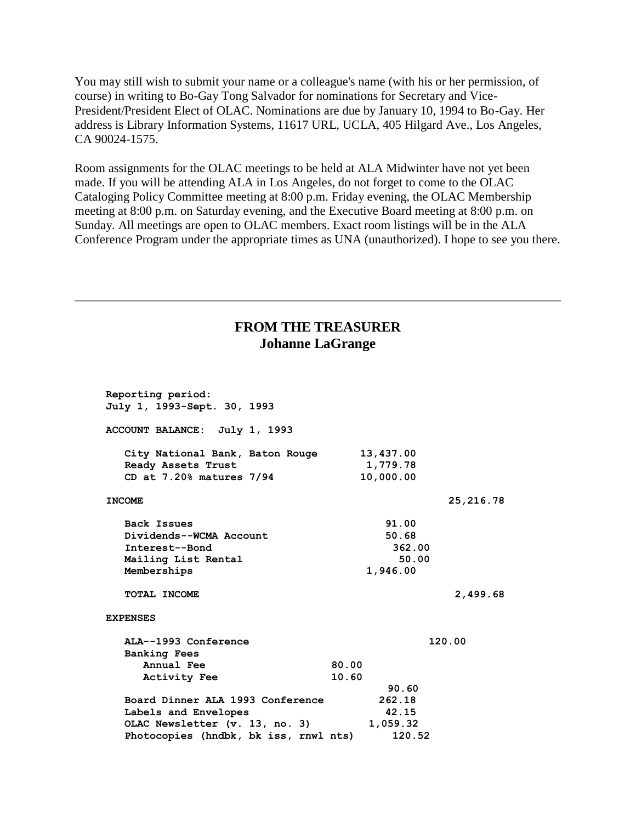You may still wish to submit your name or a colleague's name (with his or her permission, of course) in writing to Bo-Gay Tong Salvador for nominations for Secretary and Vice-President/President Elect of OLAC. Nominations are due by January 10, 1994 to Bo-Gay. Her address is Library Information Systems, 11617 URL, UCLA, 405 Hilgard Ave., Los Angeles, CA 90024-1575.

Room assignments for the OLAC meetings to be held at ALA Midwinter have not yet been made. If you will be attending ALA in Los Angeles, do not forget to come to the OLAC Cataloging Policy Committee meeting at 8:00 p.m. Friday evening, the OLAC Membership meeting at 8:00 p.m. on Saturday evening, and the Executive Board meeting at 8:00 p.m. on Sunday. All meetings are open to OLAC members. Exact room listings will be in the ALA Conference Program under the appropriate times as UNA (unauthorized). I hope to see you there.

#### **FROM THE TREASURER Johanne LaGrange**

| Reporting period:<br>July 1, 1993-Sept. 30, 1993      |                       |
|-------------------------------------------------------|-----------------------|
| ACCOUNT BALANCE: July 1, 1993                         |                       |
| City National Bank, Baton Rouge<br>Ready Assets Trust | 13,437.00<br>1,779.78 |
| CD at $7.20\%$ matures $7/94$                         | 10,000.00             |
| <b>INCOME</b>                                         | 25,216.78             |
| <b>Back Issues</b>                                    | 91.00                 |
| Dividends--WCMA Account                               | 50.68                 |
| Interest--Bond                                        | 362.00                |
| Mailing List Rental                                   | 50.00                 |
| Memberships                                           | 1,946.00              |
| TOTAL INCOME                                          | 2,499.68              |
| <b>EXPENSES</b>                                       |                       |
| ALA--1993 Conference                                  | 120.00                |
| <b>Banking Fees</b>                                   |                       |
| Annual Fee                                            | 80.00                 |
| <b>Activity Fee</b>                                   | 10.60                 |
|                                                       | 90.60                 |
| Board Dinner ALA 1993 Conference                      | 262.18                |
| Labels and Envelopes                                  | 42.15                 |
| OLAC Newsletter (v. 13, no. 3)                        | 1,059.32              |
| Photocopies (hndbk, bk iss, rnwl nts)                 | 120.52                |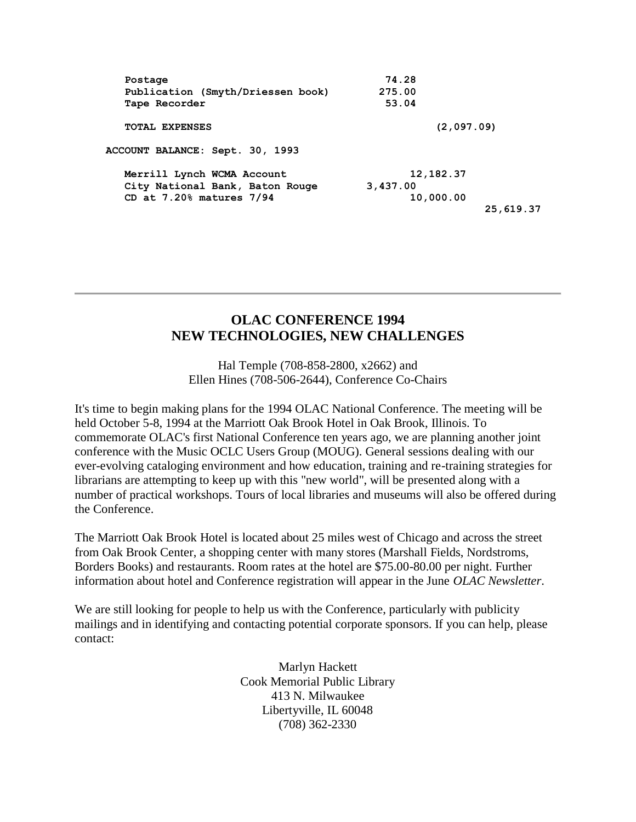| Postage                           | 74.28       |
|-----------------------------------|-------------|
| Publication (Smyth/Driessen book) | 275.00      |
| Tape Recorder                     | 53.04       |
| <b>TOTAL EXPENSES</b>             | (2,097.09)  |
| ACCOUNT BALANCE: Sept. 30, 1993   |             |
| Merrill Lynch WCMA Account        | 12, 182. 37 |
| City National Bank, Baton Rouge   | 3,437.00    |
| CD at $7.20\%$ matures $7/94$     | 10,000.00   |
|                                   | 25,619.37   |
|                                   |             |

### **OLAC CONFERENCE 1994 NEW TECHNOLOGIES, NEW CHALLENGES**

Hal Temple (708-858-2800, x2662) and Ellen Hines (708-506-2644), Conference Co-Chairs

It's time to begin making plans for the 1994 OLAC National Conference. The meeting will be held October 5-8, 1994 at the Marriott Oak Brook Hotel in Oak Brook, Illinois. To commemorate OLAC's first National Conference ten years ago, we are planning another joint conference with the Music OCLC Users Group (MOUG). General sessions dealing with our ever-evolving cataloging environment and how education, training and re-training strategies for librarians are attempting to keep up with this "new world", will be presented along with a number of practical workshops. Tours of local libraries and museums will also be offered during the Conference.

The Marriott Oak Brook Hotel is located about 25 miles west of Chicago and across the street from Oak Brook Center, a shopping center with many stores (Marshall Fields, Nordstroms, Borders Books) and restaurants. Room rates at the hotel are \$75.00-80.00 per night. Further information about hotel and Conference registration will appear in the June *OLAC Newsletter*.

We are still looking for people to help us with the Conference, particularly with publicity mailings and in identifying and contacting potential corporate sponsors. If you can help, please contact:

> Marlyn Hackett Cook Memorial Public Library 413 N. Milwaukee Libertyville, IL 60048 (708) 362-2330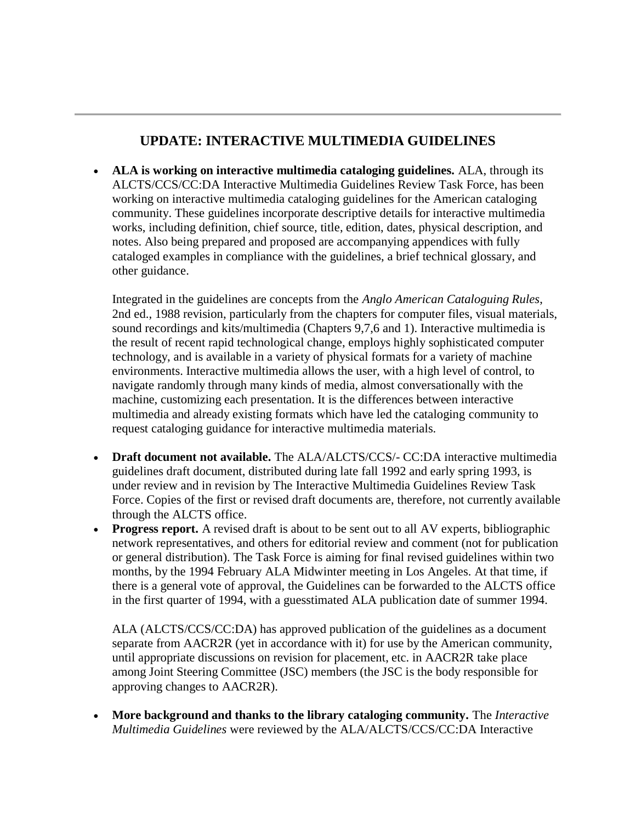## **UPDATE: INTERACTIVE MULTIMEDIA GUIDELINES**

 **ALA is working on interactive multimedia cataloging guidelines.** ALA, through its ALCTS/CCS/CC:DA Interactive Multimedia Guidelines Review Task Force, has been working on interactive multimedia cataloging guidelines for the American cataloging community. These guidelines incorporate descriptive details for interactive multimedia works, including definition, chief source, title, edition, dates, physical description, and notes. Also being prepared and proposed are accompanying appendices with fully cataloged examples in compliance with the guidelines, a brief technical glossary, and other guidance.

Integrated in the guidelines are concepts from the *Anglo American Cataloguing Rules*, 2nd ed., 1988 revision, particularly from the chapters for computer files, visual materials, sound recordings and kits/multimedia (Chapters 9,7,6 and 1). Interactive multimedia is the result of recent rapid technological change, employs highly sophisticated computer technology, and is available in a variety of physical formats for a variety of machine environments. Interactive multimedia allows the user, with a high level of control, to navigate randomly through many kinds of media, almost conversationally with the machine, customizing each presentation. It is the differences between interactive multimedia and already existing formats which have led the cataloging community to request cataloging guidance for interactive multimedia materials.

- **Draft document not available.** The ALA/ALCTS/CCS/- CC:DA interactive multimedia guidelines draft document, distributed during late fall 1992 and early spring 1993, is under review and in revision by The Interactive Multimedia Guidelines Review Task Force. Copies of the first or revised draft documents are, therefore, not currently available through the ALCTS office.
- **Progress report.** A revised draft is about to be sent out to all AV experts, bibliographic network representatives, and others for editorial review and comment (not for publication or general distribution). The Task Force is aiming for final revised guidelines within two months, by the 1994 February ALA Midwinter meeting in Los Angeles. At that time, if there is a general vote of approval, the Guidelines can be forwarded to the ALCTS office in the first quarter of 1994, with a guesstimated ALA publication date of summer 1994.

ALA (ALCTS/CCS/CC:DA) has approved publication of the guidelines as a document separate from AACR2R (yet in accordance with it) for use by the American community, until appropriate discussions on revision for placement, etc. in AACR2R take place among Joint Steering Committee (JSC) members (the JSC is the body responsible for approving changes to AACR2R).

 **More background and thanks to the library cataloging community.** The *Interactive Multimedia Guidelines* were reviewed by the ALA/ALCTS/CCS/CC:DA Interactive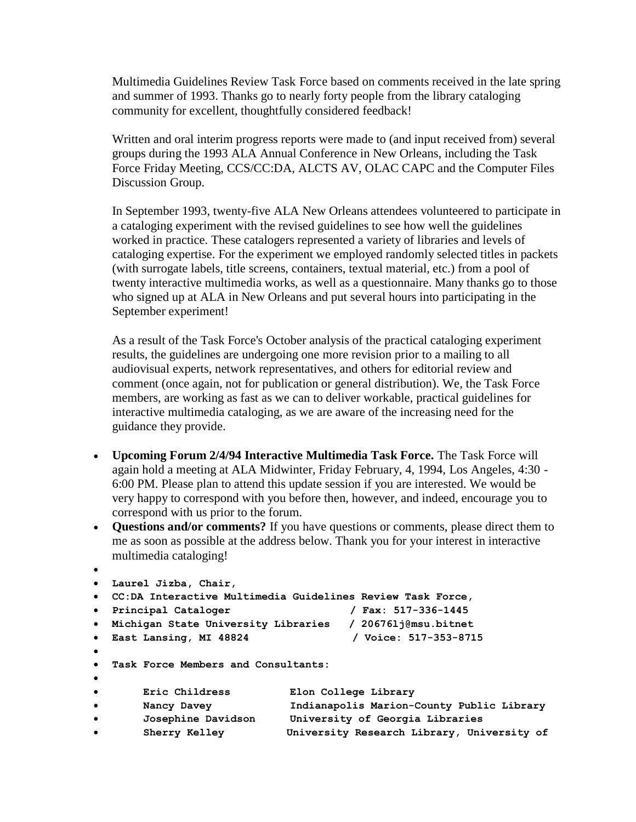Multimedia Guidelines Review Task Force based on comments received in the late spring and summer of 1993. Thanks go to nearly forty people from the library cataloging community for excellent, thoughtfully considered feedback!

Written and oral interim progress reports were made to (and input received from) several groups during the 1993 ALA Annual Conference in New Orleans, including the Task Force Friday Meeting, CCS/CC:DA, ALCTS AV, OLAC CAPC and the Computer Files Discussion Group.

In September 1993, twenty-five ALA New Orleans attendees volunteered to participate in a cataloging experiment with the revised guidelines to see how well the guidelines worked in practice. These catalogers represented a variety of libraries and levels of cataloging expertise. For the experiment we employed randomly selected titles in packets (with surrogate labels, title screens, containers, textual material, etc.) from a pool of twenty interactive multimedia works, as well as a questionnaire. Many thanks go to those who signed up at ALA in New Orleans and put several hours into participating in the September experiment!

As a result of the Task Force's October analysis of the practical cataloging experiment results, the guidelines are undergoing one more revision prior to a mailing to all audiovisual experts, network representatives, and others for editorial review and comment (once again, not for publication or general distribution). We, the Task Force members, are working as fast as we can to deliver workable, practical guidelines for interactive multimedia cataloging, as we are aware of the increasing need for the guidance they provide.

- **Upcoming Forum 2/4/94 Interactive Multimedia Task Force.** The Task Force will again hold a meeting at ALA Midwinter, Friday February, 4, 1994, Los Angeles, 4:30 - 6:00 PM. Please plan to attend this update session if you are interested. We would be very happy to correspond with you before then, however, and indeed, encourage you to correspond with us prior to the forum.
- **Questions and/or comments?** If you have questions or comments, please direct them to me as soon as possible at the address below. Thank you for your interest in interactive multimedia cataloging!

```
\bullet Laurel Jizba, Chair,
 CC:DA Interactive Multimedia Guidelines Review Task Force,
 Principal Cataloger / Fax: 517-336-1445
 Michigan State University Libraries / 20676lj@msu.bitnet
 East Lansing, MI 48824 / Voice: 517-353-8715
\bullet Task Force Members and Consultants:
\bullet Eric Childress Elon College Library
 Nancy Davey Indianapolis Marion-County Public Library
 Josephine Davidson University of Georgia Libraries
 Sherry Kelley University Research Library, University of
```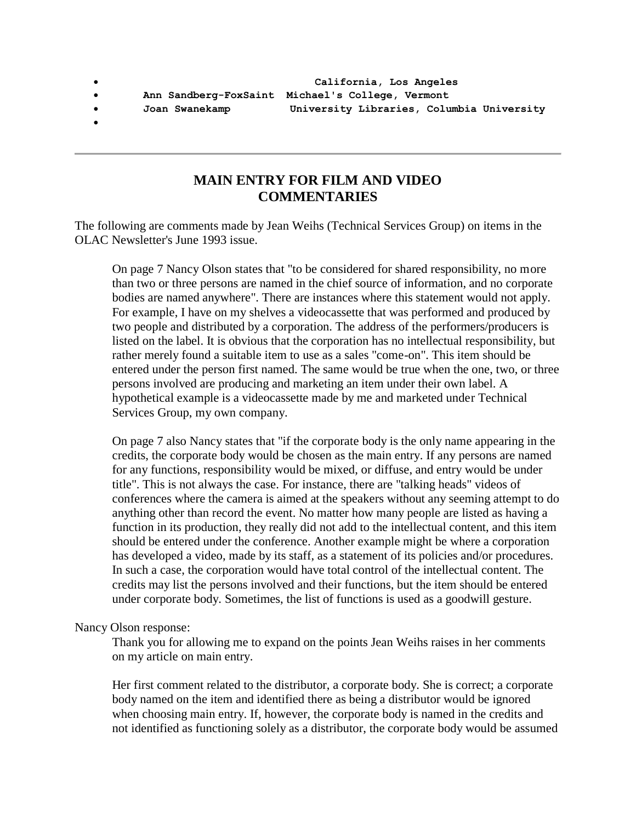**Ann Sandberg-FoxSaint Michael's College, Vermont**

- 
- $\bullet$

#### **MAIN ENTRY FOR FILM AND VIDEO COMMENTARIES**

The following are comments made by Jean Weihs (Technical Services Group) on items in the OLAC Newsletter's June 1993 issue.

On page 7 Nancy Olson states that "to be considered for shared responsibility, no more than two or three persons are named in the chief source of information, and no corporate bodies are named anywhere". There are instances where this statement would not apply. For example, I have on my shelves a videocassette that was performed and produced by two people and distributed by a corporation. The address of the performers/producers is listed on the label. It is obvious that the corporation has no intellectual responsibility, but rather merely found a suitable item to use as a sales "come-on". This item should be entered under the person first named. The same would be true when the one, two, or three persons involved are producing and marketing an item under their own label. A hypothetical example is a videocassette made by me and marketed under Technical Services Group, my own company.

On page 7 also Nancy states that "if the corporate body is the only name appearing in the credits, the corporate body would be chosen as the main entry. If any persons are named for any functions, responsibility would be mixed, or diffuse, and entry would be under title". This is not always the case. For instance, there are "talking heads" videos of conferences where the camera is aimed at the speakers without any seeming attempt to do anything other than record the event. No matter how many people are listed as having a function in its production, they really did not add to the intellectual content, and this item should be entered under the conference. Another example might be where a corporation has developed a video, made by its staff, as a statement of its policies and/or procedures. In such a case, the corporation would have total control of the intellectual content. The credits may list the persons involved and their functions, but the item should be entered under corporate body. Sometimes, the list of functions is used as a goodwill gesture.

#### Nancy Olson response:

Thank you for allowing me to expand on the points Jean Weihs raises in her comments on my article on main entry.

Her first comment related to the distributor, a corporate body. She is correct; a corporate body named on the item and identified there as being a distributor would be ignored when choosing main entry. If, however, the corporate body is named in the credits and not identified as functioning solely as a distributor, the corporate body would be assumed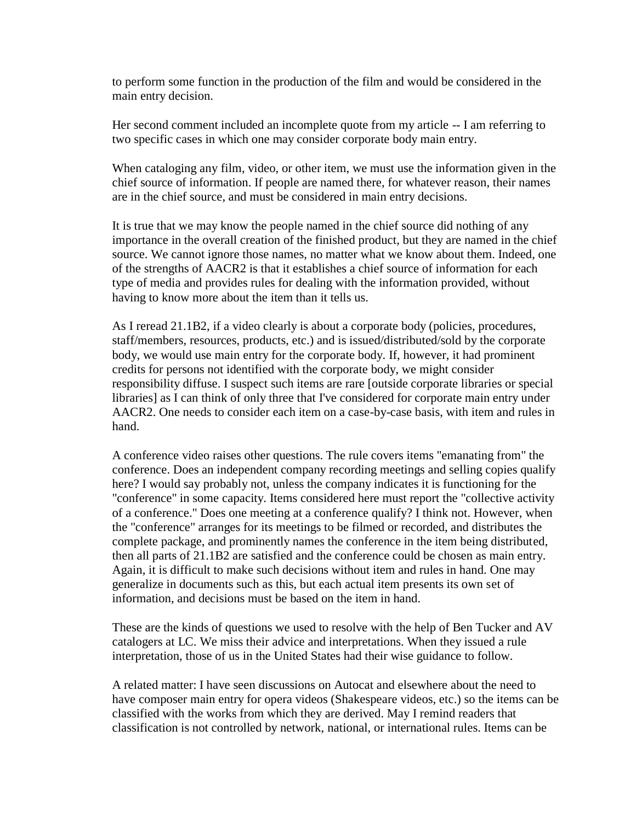to perform some function in the production of the film and would be considered in the main entry decision.

Her second comment included an incomplete quote from my article -- I am referring to two specific cases in which one may consider corporate body main entry.

When cataloging any film, video, or other item, we must use the information given in the chief source of information. If people are named there, for whatever reason, their names are in the chief source, and must be considered in main entry decisions.

It is true that we may know the people named in the chief source did nothing of any importance in the overall creation of the finished product, but they are named in the chief source. We cannot ignore those names, no matter what we know about them. Indeed, one of the strengths of AACR2 is that it establishes a chief source of information for each type of media and provides rules for dealing with the information provided, without having to know more about the item than it tells us.

As I reread 21.1B2, if a video clearly is about a corporate body (policies, procedures, staff/members, resources, products, etc.) and is issued/distributed/sold by the corporate body, we would use main entry for the corporate body. If, however, it had prominent credits for persons not identified with the corporate body, we might consider responsibility diffuse. I suspect such items are rare [outside corporate libraries or special libraries] as I can think of only three that I've considered for corporate main entry under AACR2. One needs to consider each item on a case-by-case basis, with item and rules in hand.

A conference video raises other questions. The rule covers items "emanating from" the conference. Does an independent company recording meetings and selling copies qualify here? I would say probably not, unless the company indicates it is functioning for the "conference" in some capacity. Items considered here must report the "collective activity of a conference." Does one meeting at a conference qualify? I think not. However, when the "conference" arranges for its meetings to be filmed or recorded, and distributes the complete package, and prominently names the conference in the item being distributed, then all parts of 21.1B2 are satisfied and the conference could be chosen as main entry. Again, it is difficult to make such decisions without item and rules in hand. One may generalize in documents such as this, but each actual item presents its own set of information, and decisions must be based on the item in hand.

These are the kinds of questions we used to resolve with the help of Ben Tucker and AV catalogers at LC. We miss their advice and interpretations. When they issued a rule interpretation, those of us in the United States had their wise guidance to follow.

A related matter: I have seen discussions on Autocat and elsewhere about the need to have composer main entry for opera videos (Shakespeare videos, etc.) so the items can be classified with the works from which they are derived. May I remind readers that classification is not controlled by network, national, or international rules. Items can be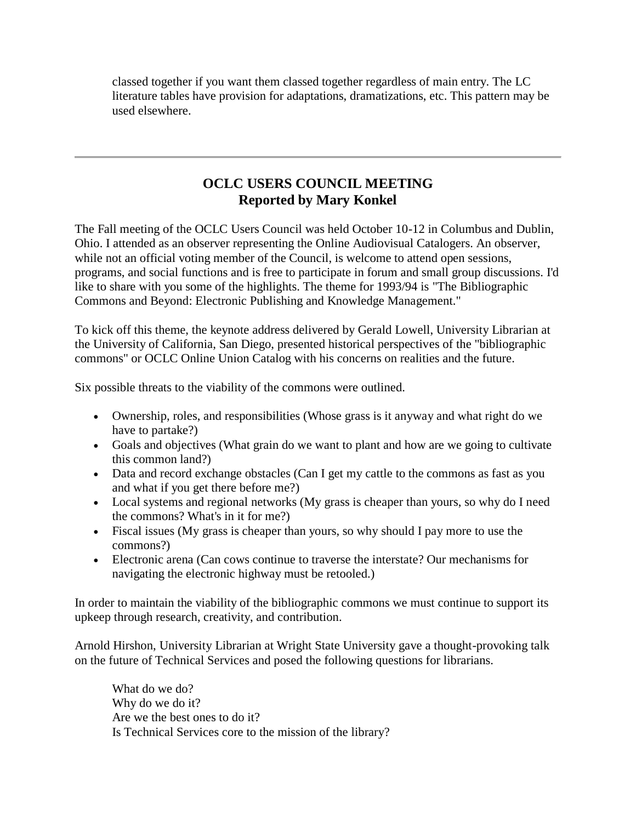classed together if you want them classed together regardless of main entry. The LC literature tables have provision for adaptations, dramatizations, etc. This pattern may be used elsewhere.

## **OCLC USERS COUNCIL MEETING Reported by Mary Konkel**

The Fall meeting of the OCLC Users Council was held October 10-12 in Columbus and Dublin, Ohio. I attended as an observer representing the Online Audiovisual Catalogers. An observer, while not an official voting member of the Council, is welcome to attend open sessions, programs, and social functions and is free to participate in forum and small group discussions. I'd like to share with you some of the highlights. The theme for 1993/94 is "The Bibliographic Commons and Beyond: Electronic Publishing and Knowledge Management."

To kick off this theme, the keynote address delivered by Gerald Lowell, University Librarian at the University of California, San Diego, presented historical perspectives of the "bibliographic commons" or OCLC Online Union Catalog with his concerns on realities and the future.

Six possible threats to the viability of the commons were outlined.

- Ownership, roles, and responsibilities (Whose grass is it anyway and what right do we have to partake?)
- Goals and objectives (What grain do we want to plant and how are we going to cultivate this common land?)
- Data and record exchange obstacles (Can I get my cattle to the commons as fast as you and what if you get there before me?)
- Local systems and regional networks (My grass is cheaper than yours, so why do I need the commons? What's in it for me?)
- Fiscal issues (My grass is cheaper than yours, so why should I pay more to use the commons?)
- Electronic arena (Can cows continue to traverse the interstate? Our mechanisms for navigating the electronic highway must be retooled.)

In order to maintain the viability of the bibliographic commons we must continue to support its upkeep through research, creativity, and contribution.

Arnold Hirshon, University Librarian at Wright State University gave a thought-provoking talk on the future of Technical Services and posed the following questions for librarians.

What do we do? Why do we do it? Are we the best ones to do it? Is Technical Services core to the mission of the library?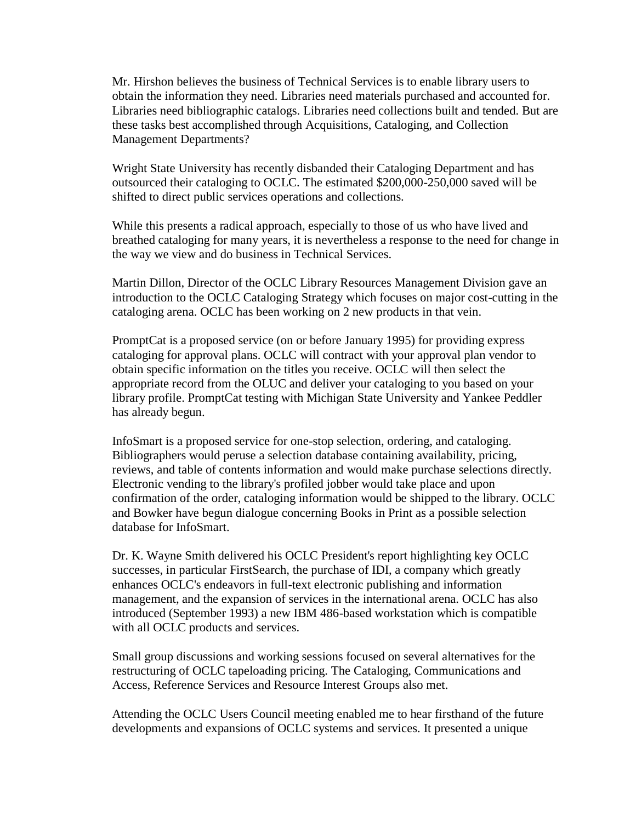Mr. Hirshon believes the business of Technical Services is to enable library users to obtain the information they need. Libraries need materials purchased and accounted for. Libraries need bibliographic catalogs. Libraries need collections built and tended. But are these tasks best accomplished through Acquisitions, Cataloging, and Collection Management Departments?

Wright State University has recently disbanded their Cataloging Department and has outsourced their cataloging to OCLC. The estimated \$200,000-250,000 saved will be shifted to direct public services operations and collections.

While this presents a radical approach, especially to those of us who have lived and breathed cataloging for many years, it is nevertheless a response to the need for change in the way we view and do business in Technical Services.

Martin Dillon, Director of the OCLC Library Resources Management Division gave an introduction to the OCLC Cataloging Strategy which focuses on major cost-cutting in the cataloging arena. OCLC has been working on 2 new products in that vein.

PromptCat is a proposed service (on or before January 1995) for providing express cataloging for approval plans. OCLC will contract with your approval plan vendor to obtain specific information on the titles you receive. OCLC will then select the appropriate record from the OLUC and deliver your cataloging to you based on your library profile. PromptCat testing with Michigan State University and Yankee Peddler has already begun.

InfoSmart is a proposed service for one-stop selection, ordering, and cataloging. Bibliographers would peruse a selection database containing availability, pricing, reviews, and table of contents information and would make purchase selections directly. Electronic vending to the library's profiled jobber would take place and upon confirmation of the order, cataloging information would be shipped to the library. OCLC and Bowker have begun dialogue concerning Books in Print as a possible selection database for InfoSmart.

Dr. K. Wayne Smith delivered his OCLC President's report highlighting key OCLC successes, in particular FirstSearch, the purchase of IDI, a company which greatly enhances OCLC's endeavors in full-text electronic publishing and information management, and the expansion of services in the international arena. OCLC has also introduced (September 1993) a new IBM 486-based workstation which is compatible with all OCLC products and services.

Small group discussions and working sessions focused on several alternatives for the restructuring of OCLC tapeloading pricing. The Cataloging, Communications and Access, Reference Services and Resource Interest Groups also met.

Attending the OCLC Users Council meeting enabled me to hear firsthand of the future developments and expansions of OCLC systems and services. It presented a unique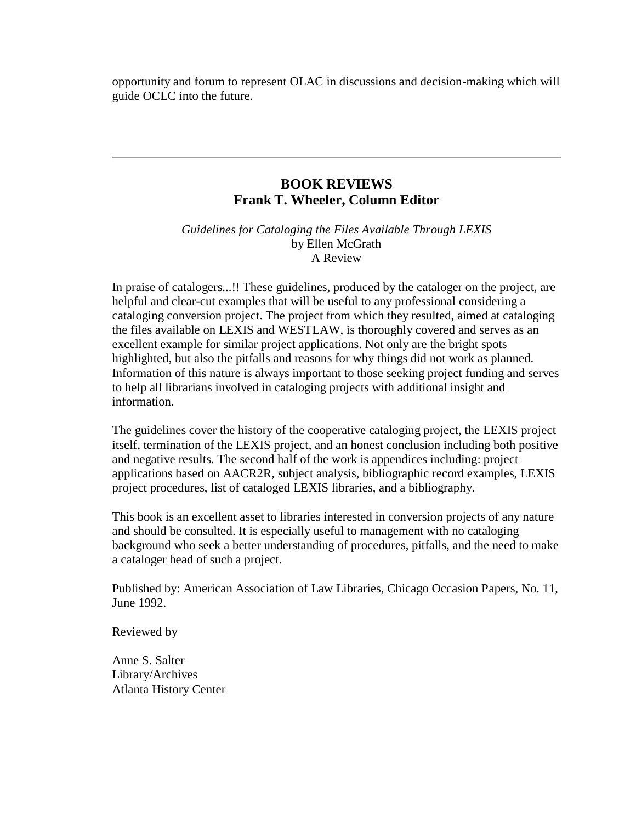opportunity and forum to represent OLAC in discussions and decision-making which will guide OCLC into the future.

### **BOOK REVIEWS Frank T. Wheeler, Column Editor**

*Guidelines for Cataloging the Files Available Through LEXIS* by Ellen McGrath A Review

In praise of catalogers...!! These guidelines, produced by the cataloger on the project, are helpful and clear-cut examples that will be useful to any professional considering a cataloging conversion project. The project from which they resulted, aimed at cataloging the files available on LEXIS and WESTLAW, is thoroughly covered and serves as an excellent example for similar project applications. Not only are the bright spots highlighted, but also the pitfalls and reasons for why things did not work as planned. Information of this nature is always important to those seeking project funding and serves to help all librarians involved in cataloging projects with additional insight and information.

The guidelines cover the history of the cooperative cataloging project, the LEXIS project itself, termination of the LEXIS project, and an honest conclusion including both positive and negative results. The second half of the work is appendices including: project applications based on AACR2R, subject analysis, bibliographic record examples, LEXIS project procedures, list of cataloged LEXIS libraries, and a bibliography.

This book is an excellent asset to libraries interested in conversion projects of any nature and should be consulted. It is especially useful to management with no cataloging background who seek a better understanding of procedures, pitfalls, and the need to make a cataloger head of such a project.

Published by: American Association of Law Libraries, Chicago Occasion Papers, No. 11, June 1992.

Reviewed by

Anne S. Salter Library/Archives Atlanta History Center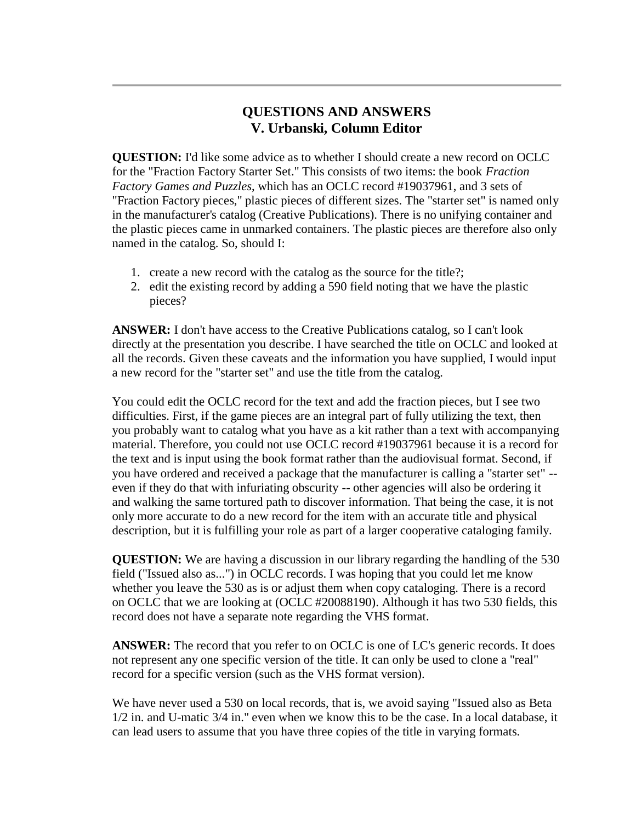### **QUESTIONS AND ANSWERS V. Urbanski, Column Editor**

**QUESTION:** I'd like some advice as to whether I should create a new record on OCLC for the "Fraction Factory Starter Set." This consists of two items: the book *Fraction Factory Games and Puzzles*, which has an OCLC record #19037961, and 3 sets of "Fraction Factory pieces," plastic pieces of different sizes. The "starter set" is named only in the manufacturer's catalog (Creative Publications). There is no unifying container and the plastic pieces came in unmarked containers. The plastic pieces are therefore also only named in the catalog. So, should I:

- 1. create a new record with the catalog as the source for the title?;
- 2. edit the existing record by adding a 590 field noting that we have the plastic pieces?

**ANSWER:** I don't have access to the Creative Publications catalog, so I can't look directly at the presentation you describe. I have searched the title on OCLC and looked at all the records. Given these caveats and the information you have supplied, I would input a new record for the "starter set" and use the title from the catalog.

You could edit the OCLC record for the text and add the fraction pieces, but I see two difficulties. First, if the game pieces are an integral part of fully utilizing the text, then you probably want to catalog what you have as a kit rather than a text with accompanying material. Therefore, you could not use OCLC record #19037961 because it is a record for the text and is input using the book format rather than the audiovisual format. Second, if you have ordered and received a package that the manufacturer is calling a "starter set" - even if they do that with infuriating obscurity -- other agencies will also be ordering it and walking the same tortured path to discover information. That being the case, it is not only more accurate to do a new record for the item with an accurate title and physical description, but it is fulfilling your role as part of a larger cooperative cataloging family.

**QUESTION:** We are having a discussion in our library regarding the handling of the 530 field ("Issued also as...") in OCLC records. I was hoping that you could let me know whether you leave the 530 as is or adjust them when copy cataloging. There is a record on OCLC that we are looking at (OCLC #20088190). Although it has two 530 fields, this record does not have a separate note regarding the VHS format.

**ANSWER:** The record that you refer to on OCLC is one of LC's generic records. It does not represent any one specific version of the title. It can only be used to clone a "real" record for a specific version (such as the VHS format version).

We have never used a 530 on local records, that is, we avoid saying "Issued also as Beta" 1/2 in. and U-matic 3/4 in." even when we know this to be the case. In a local database, it can lead users to assume that you have three copies of the title in varying formats.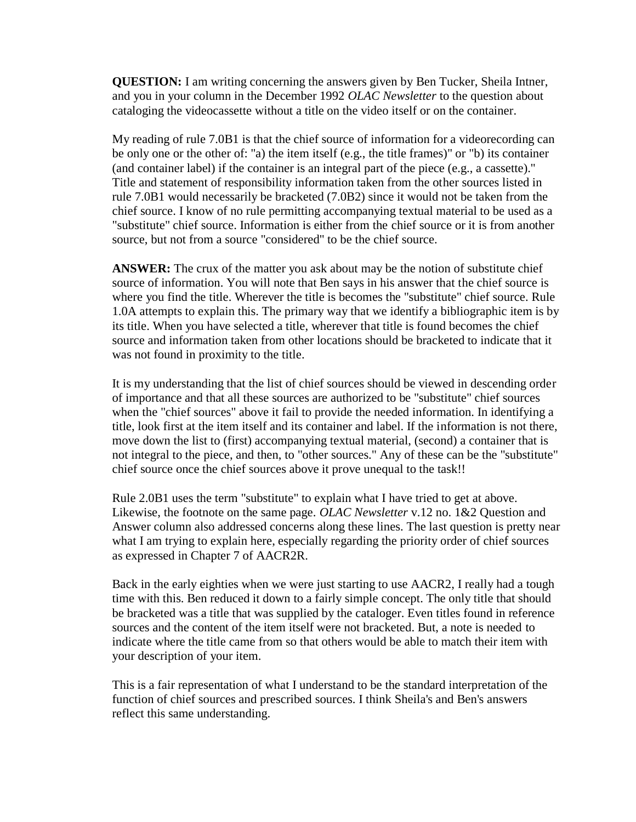**QUESTION:** I am writing concerning the answers given by Ben Tucker, Sheila Intner, and you in your column in the December 1992 *OLAC Newsletter* to the question about cataloging the videocassette without a title on the video itself or on the container.

My reading of rule 7.0B1 is that the chief source of information for a videorecording can be only one or the other of: "a) the item itself (e.g., the title frames)" or "b) its container (and container label) if the container is an integral part of the piece (e.g., a cassette)." Title and statement of responsibility information taken from the other sources listed in rule 7.0B1 would necessarily be bracketed (7.0B2) since it would not be taken from the chief source. I know of no rule permitting accompanying textual material to be used as a "substitute" chief source. Information is either from the chief source or it is from another source, but not from a source "considered" to be the chief source.

**ANSWER:** The crux of the matter you ask about may be the notion of substitute chief source of information. You will note that Ben says in his answer that the chief source is where you find the title. Wherever the title is becomes the "substitute" chief source. Rule 1.0A attempts to explain this. The primary way that we identify a bibliographic item is by its title. When you have selected a title, wherever that title is found becomes the chief source and information taken from other locations should be bracketed to indicate that it was not found in proximity to the title.

It is my understanding that the list of chief sources should be viewed in descending order of importance and that all these sources are authorized to be "substitute" chief sources when the "chief sources" above it fail to provide the needed information. In identifying a title, look first at the item itself and its container and label. If the information is not there, move down the list to (first) accompanying textual material, (second) a container that is not integral to the piece, and then, to "other sources." Any of these can be the "substitute" chief source once the chief sources above it prove unequal to the task!!

Rule 2.0B1 uses the term "substitute" to explain what I have tried to get at above. Likewise, the footnote on the same page. *OLAC Newsletter* v.12 no. 1&2 Question and Answer column also addressed concerns along these lines. The last question is pretty near what I am trying to explain here, especially regarding the priority order of chief sources as expressed in Chapter 7 of AACR2R.

Back in the early eighties when we were just starting to use AACR2, I really had a tough time with this. Ben reduced it down to a fairly simple concept. The only title that should be bracketed was a title that was supplied by the cataloger. Even titles found in reference sources and the content of the item itself were not bracketed. But, a note is needed to indicate where the title came from so that others would be able to match their item with your description of your item.

This is a fair representation of what I understand to be the standard interpretation of the function of chief sources and prescribed sources. I think Sheila's and Ben's answers reflect this same understanding.